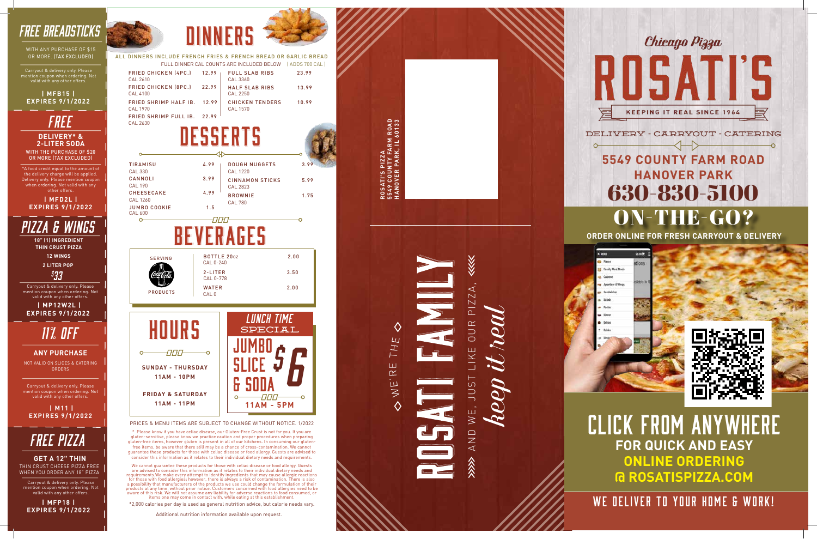

PRICES & MENU ITEMS ARE SUBJECT TO CHANGE WITHOUT NOTICE. 1/2022

\* Please know if you have celiac disease, our Gluten-Free Crust is not for you. If you are gluten-sensitive, please know we practice caution and proper procedures when preparing gluten-free items, however gluten is present in all of our kitchens. In consuming our glutenfree items, be aware that there still may be a chance of cross-contamination. We cannot guarantee these products for those with celiac disease or food allergy. Guests are advised to consider this information as it relates to their individual dietary needs and requirements.



FRIED CHICKEN (4PC.) 12.99 FRIED CHICKEN (8PC.) 22.99 FULL SLAB RIBS 23.99 HALF SLAB RIBS 13.99 CAL 2610 CAL 4100 CAL 3360 CAL 2250 FRIED SHRIMP HALF IB. 12.99 FRIED SHRIMP FULL IB. 22.99 CAL 2630 CAL 1970 CHICKEN TENDERS 10.99 CAL 1570

\*2,000 calories per day is used as general nutrition advice, but calorie needs vary.



#### WITH THE PURCHASE OF \$20 OR MORE (TAX EXCLUDED) **DELIVERY\* & 2-LITER SODA** *free*

# $\leftrightarrow$ **5549 COUNTY FARM ROAD HANOVER PARK** 630-830-5100 ON-THE-GO?



Additional nutrition information available upon request.

WITH ANY PURCHASE OF \$15 OR MORE. (TAX EXCLUDED)

**ROSATI'S PIZZA**

**5549 COUNTY FARM ROAD HANOVER PARK, IL 60133**

**ARM ROAD**<br>C. IL 60133



SUL-

 $WE$ ,

# AND

 $\overline{L}$ H. Ш  $\alpha$  $\mathbf{\dot{\boldsymbol{\omega}}}$  $\overline{\geq}$  $\Diamond$ 

*free Pizza*

THIN CRUST CHEESE PIZZA FREE WHEN YOU ORDER ANY 18" PIZZ A **GET A 12" THIN**

Carryout & delivery only. Please mention coupon when ordering. Not valid with any other offers.

**| MFP18 | EXPIRES 9/1/2022**



 $\sim$ 

 **| M11 | EXPIRES 9/1/2022**

Carryout & delivery only. Please mention coupon when ordering. Not valid with any other offers.

ALL DINNERS INCLUDE FRENCH FRIES & FRENCH BREAD OR GARLIC BREAD FULL DINNER CAL COUNTS ARE INCLUDED BELOW ( ADDS 700 CAL )

*11% OFF*

NOT VALID ON SLICES & CATERING ORDERS

**ANY PURCHASE**



\*A food credit equal to the amount of the delivery charge will be applied. Delivery only. Please mention coupon when ordering. Not valid with any other offers .

**| MFD2L | EXPIRES 9/1/2022**



**ORDER ONLINE FOR FRESH CARRYOUT & DELIVERY**





CLICK FROM ANYWHERE **FOR QUICK AND EASY ONLINE ORDERING @ ROSATISPIZZA.COM**

WE DELIVER TO YOUR HOME & WORK!

## *FREE BREADSTICKS*

Carryout & delivery only. Please mention coupon when ordering. Not valid with any other offers.



# *PIZZA & WINGS*

**18" (1) INGREDIENT THIN CRUST PIZZA**

> **2 LITER POP 12 WINGS**

*\$ 33*

Carryout & delivery only. Please mention coupon when ordering. Not valid with any other offers.

 **| MP12W2L | EXPIRES 9/1/2022**

> We cannot guarantee these products for those with celiac disease or food allergy. Guests are advised to consider this information as it relates to their individual dietary needs and requirements.We make every attempt to identify ingredients that may cause allergic reactions for those with food allergies; however, there is always a risk of contamination. There is also a possibility that manufacturers of the products we use could change the formulation of their products at any time, without prior notice. Customers concerned with food allergies need to be aware of this risk. We will not assume any liability for adverse reactions to food consumed, or items one may come in contact with, while eating at this establishment.